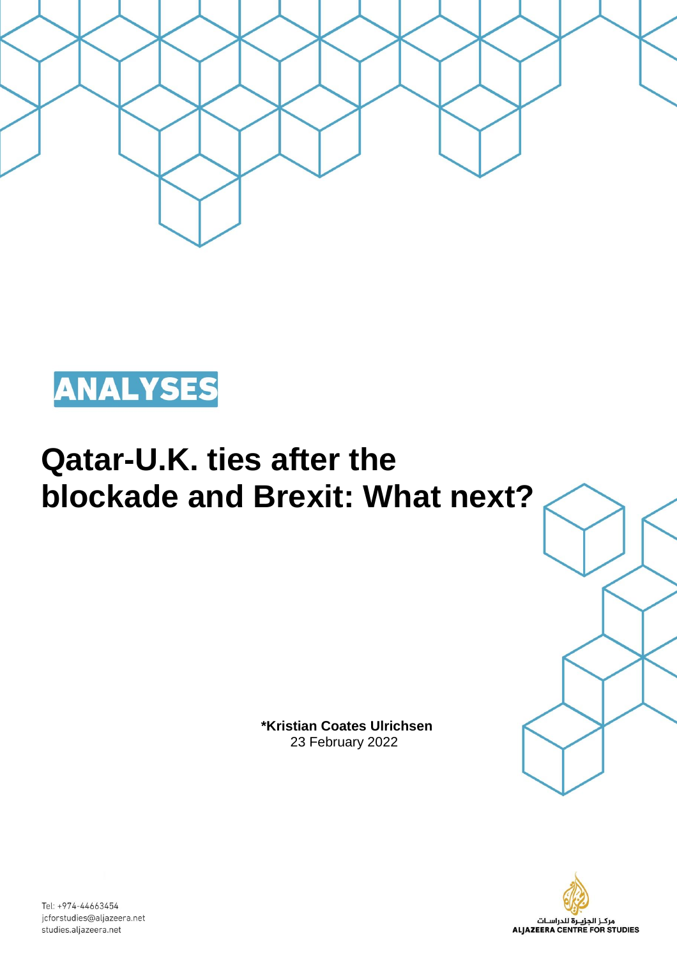



# **Qatar-U.K. ties after the blockade and Brexit: What next?**

 **\*Kristian Coates Ulrichsen** 23 February 2022





Tel: +974-44663454 jcforstudies@aljazeera.net studies.aljazeera.net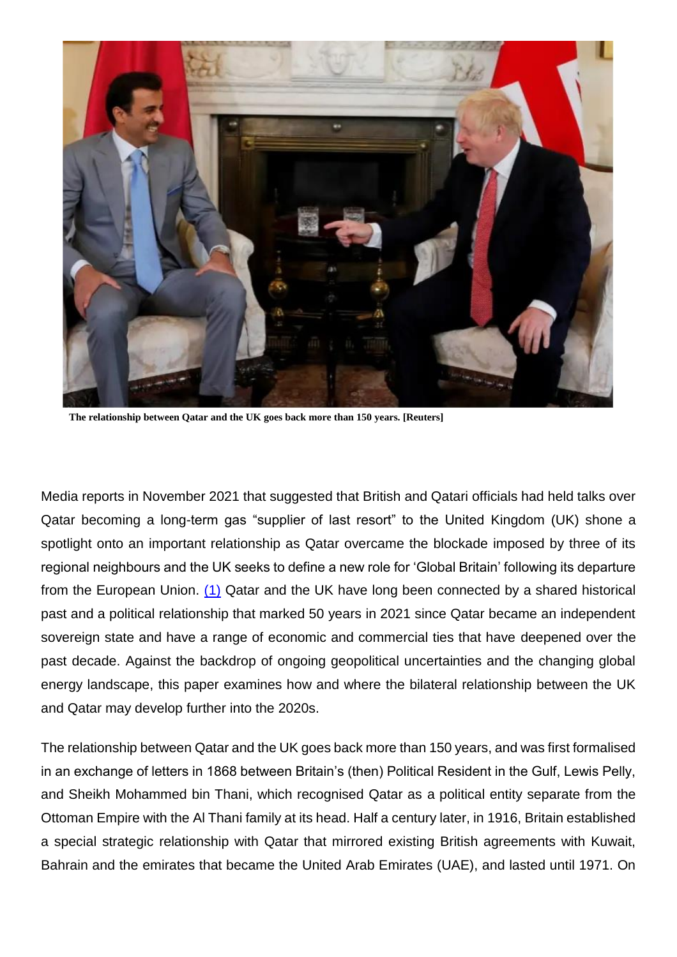

**The relationship between Qatar and the UK goes back more than 150 years. [Reuters]**

Media reports in November 2021 that suggested that British and Qatari officials had held talks over Qatar becoming a long-term gas "supplier of last resort" to the United Kingdom (UK) shone a spotlight onto an important relationship as Qatar overcame the blockade imposed by three of its regional neighbours and the UK seeks to define a new role for 'Global Britain' following its departure from the European Union. (1) Qatar and the UK have long been connected by a shared historical past and a political relationship that marked 50 years in 2021 since Qatar became an independent sovereign state and have a range of economic and commercial ties that have deepened over the past decade. Against the backdrop of ongoing geopolitical uncertainties and the changing global energy landscape, this paper examines how and where the bilateral relationship between the UK and Qatar may develop further into the 2020s.

The relationship between Qatar and the UK goes back more than 150 years, and was first formalised in an exchange of letters in 1868 between Britain's (then) Political Resident in the Gulf, Lewis Pelly, and Sheikh Mohammed bin Thani, which recognised Qatar as a political entity separate from the Ottoman Empire with the Al Thani family at its head. Half a century later, in 1916, Britain established a special strategic relationship with Qatar that mirrored existing British agreements with Kuwait, Bahrain and the emirates that became the United Arab Emirates (UAE), and lasted until 1971. On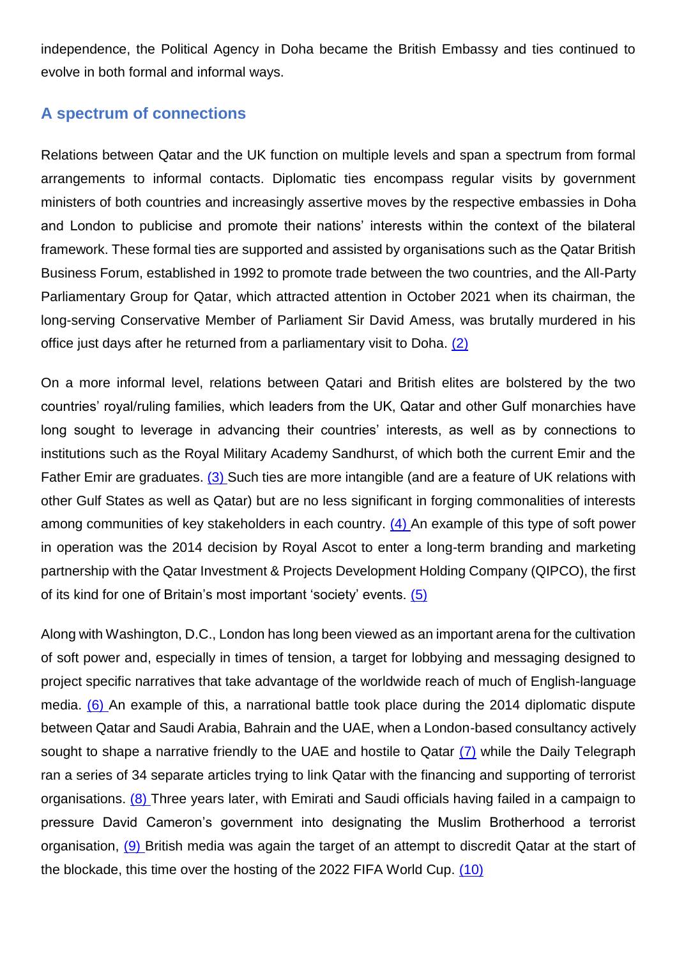independence, the Political Agency in Doha became the British Embassy and ties continued to evolve in both formal and informal ways.

## **A spectrum of connections**

Relations between Qatar and the UK function on multiple levels and span a spectrum from formal arrangements to informal contacts. Diplomatic ties encompass regular visits by government ministers of both countries and increasingly assertive moves by the respective embassies in Doha and London to publicise and promote their nations' interests within the context of the bilateral framework. These formal ties are supported and assisted by organisations such as the Qatar British Business Forum, established in 1992 to promote trade between the two countries, and the All-Party Parliamentary Group for Qatar, which attracted attention in October 2021 when its chairman, the long-serving Conservative Member of Parliament Sir David Amess, was brutally murdered in his office just days after he returned from a parliamentary visit to Doha. (2)

On a more informal level, relations between Qatari and British elites are bolstered by the two countries' royal/ruling families, which leaders from the UK, Qatar and other Gulf monarchies have long sought to leverage in advancing their countries' interests, as well as by connections to institutions such as the Royal Military Academy Sandhurst, of which both the current Emir and the Father Emir are graduates. (3) Such ties are more intangible (and are a feature of UK relations with other Gulf States as well as Qatar) but are no less significant in forging commonalities of interests among communities of key stakeholders in each country. (4) An example of this type of soft power in operation was the 2014 decision by Royal Ascot to enter a long-term branding and marketing partnership with the Qatar Investment & Projects Development Holding Company (QIPCO), the first of its kind for one of Britain's most important 'society' events. (5)

Along with Washington, D.C., London has long been viewed as an important arena for the cultivation of soft power and, especially in times of tension, a target for lobbying and messaging designed to project specific narratives that take advantage of the worldwide reach of much of English-language media. (6) An example of this, a narrational battle took place during the 2014 diplomatic dispute between Qatar and Saudi Arabia, Bahrain and the UAE, when a London-based consultancy actively sought to shape a narrative friendly to the UAE and hostile to Qatar (7) while the Daily Telegraph ran a series of 34 separate articles trying to link Qatar with the financing and supporting of terrorist organisations. (8) Three years later, with Emirati and Saudi officials having failed in a campaign to pressure David Cameron's government into designating the Muslim Brotherhood a terrorist organisation, (9) British media was again the target of an attempt to discredit Qatar at the start of the blockade, this time over the hosting of the 2022 FIFA World Cup. (10)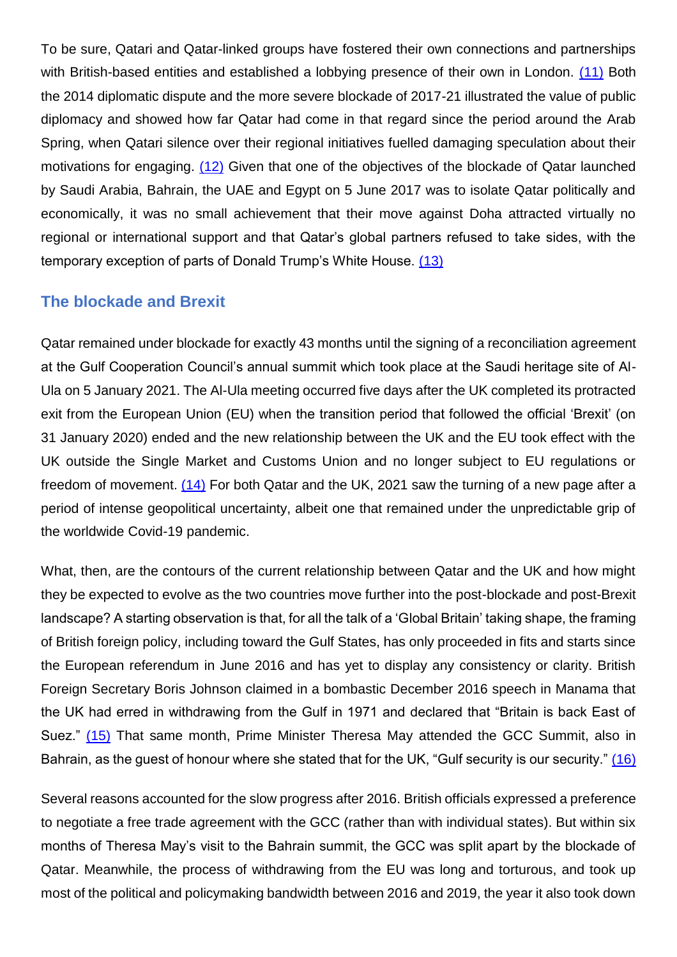To be sure, Qatari and Qatar-linked groups have fostered their own connections and partnerships with British-based entities and established a lobbying presence of their own in London. (11) Both the 2014 diplomatic dispute and the more severe blockade of 2017-21 illustrated the value of public diplomacy and showed how far Qatar had come in that regard since the period around the Arab Spring, when Qatari silence over their regional initiatives fuelled damaging speculation about their motivations for engaging. (12) Given that one of the objectives of the blockade of Qatar launched by Saudi Arabia, Bahrain, the UAE and Egypt on 5 June 2017 was to isolate Qatar politically and economically, it was no small achievement that their move against Doha attracted virtually no regional or international support and that Qatar's global partners refused to take sides, with the temporary exception of parts of Donald Trump's White House. (13)

#### **The blockade and Brexit**

Qatar remained under blockade for exactly 43 months until the signing of a reconciliation agreement at the Gulf Cooperation Council's annual summit which took place at the Saudi heritage site of Al-Ula on 5 January 2021. The Al-Ula meeting occurred five days after the UK completed its protracted exit from the European Union (EU) when the transition period that followed the official 'Brexit' (on 31 January 2020) ended and the new relationship between the UK and the EU took effect with the UK outside the Single Market and Customs Union and no longer subject to EU regulations or freedom of movement. (14) For both Qatar and the UK, 2021 saw the turning of a new page after a period of intense geopolitical uncertainty, albeit one that remained under the unpredictable grip of the worldwide Covid-19 pandemic.

What, then, are the contours of the current relationship between Qatar and the UK and how might they be expected to evolve as the two countries move further into the post-blockade and post-Brexit landscape? A starting observation is that, for all the talk of a 'Global Britain' taking shape, the framing of British foreign policy, including toward the Gulf States, has only proceeded in fits and starts since the European referendum in June 2016 and has yet to display any consistency or clarity. British Foreign Secretary Boris Johnson claimed in a bombastic December 2016 speech in Manama that the UK had erred in withdrawing from the Gulf in 1971 and declared that "Britain is back East of Suez." (15) That same month, Prime Minister Theresa May attended the GCC Summit, also in Bahrain, as the guest of honour where she stated that for the UK, "Gulf security is our security." (16)

Several reasons accounted for the slow progress after 2016. British officials expressed a preference to negotiate a free trade agreement with the GCC (rather than with individual states). But within six months of Theresa May's visit to the Bahrain summit, the GCC was split apart by the blockade of Qatar. Meanwhile, the process of withdrawing from the EU was long and torturous, and took up most of the political and policymaking bandwidth between 2016 and 2019, the year it also took down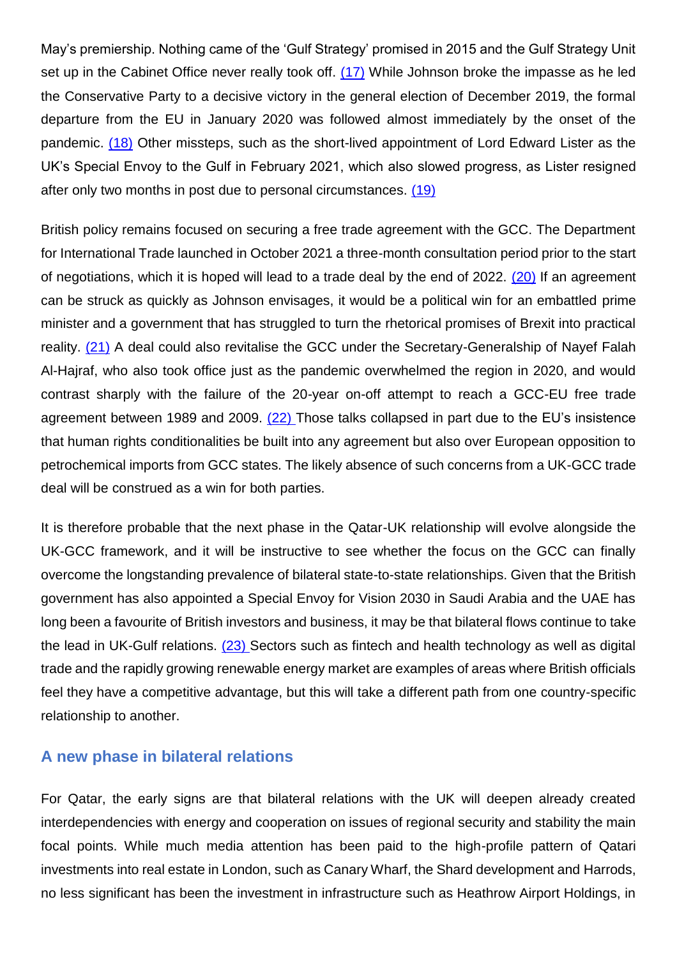May's premiership. Nothing came of the 'Gulf Strategy' promised in 2015 and the Gulf Strategy Unit set up in the Cabinet Office never really took off. (17) While Johnson broke the impasse as he led the Conservative Party to a decisive victory in the general election of December 2019, the formal departure from the EU in January 2020 was followed almost immediately by the onset of the pandemic. (18) Other missteps, such as the short-lived appointment of Lord Edward Lister as the UK's Special Envoy to the Gulf in February 2021, which also slowed progress, as Lister resigned after only two months in post due to personal circumstances. (19)

British policy remains focused on securing a free trade agreement with the GCC. The Department for International Trade launched in October 2021 a three-month consultation period prior to the start of negotiations, which it is hoped will lead to a trade deal by the end of 2022. (20) If an agreement can be struck as quickly as Johnson envisages, it would be a political win for an embattled prime minister and a government that has struggled to turn the rhetorical promises of Brexit into practical reality. (21) A deal could also revitalise the GCC under the Secretary-Generalship of Nayef Falah Al-Hajraf, who also took office just as the pandemic overwhelmed the region in 2020, and would contrast sharply with the failure of the 20-year on-off attempt to reach a GCC-EU free trade agreement between 1989 and 2009. (22) Those talks collapsed in part due to the EU's insistence that human rights conditionalities be built into any agreement but also over European opposition to petrochemical imports from GCC states. The likely absence of such concerns from a UK-GCC trade deal will be construed as a win for both parties.

It is therefore probable that the next phase in the Qatar-UK relationship will evolve alongside the UK-GCC framework, and it will be instructive to see whether the focus on the GCC can finally overcome the longstanding prevalence of bilateral state-to-state relationships. Given that the British government has also appointed a Special Envoy for Vision 2030 in Saudi Arabia and the UAE has long been a favourite of British investors and business, it may be that bilateral flows continue to take the lead in UK-Gulf relations.  $(23)$  Sectors such as fintech and health technology as well as digital trade and the rapidly growing renewable energy market are examples of areas where British officials feel they have a competitive advantage, but this will take a different path from one country-specific relationship to another.

### **A new phase in bilateral relations**

For Qatar, the early signs are that bilateral relations with the UK will deepen already created interdependencies with energy and cooperation on issues of regional security and stability the main focal points. While much media attention has been paid to the high-profile pattern of Qatari investments into real estate in London, such as Canary Wharf, the Shard development and Harrods, no less significant has been the investment in infrastructure such as Heathrow Airport Holdings, in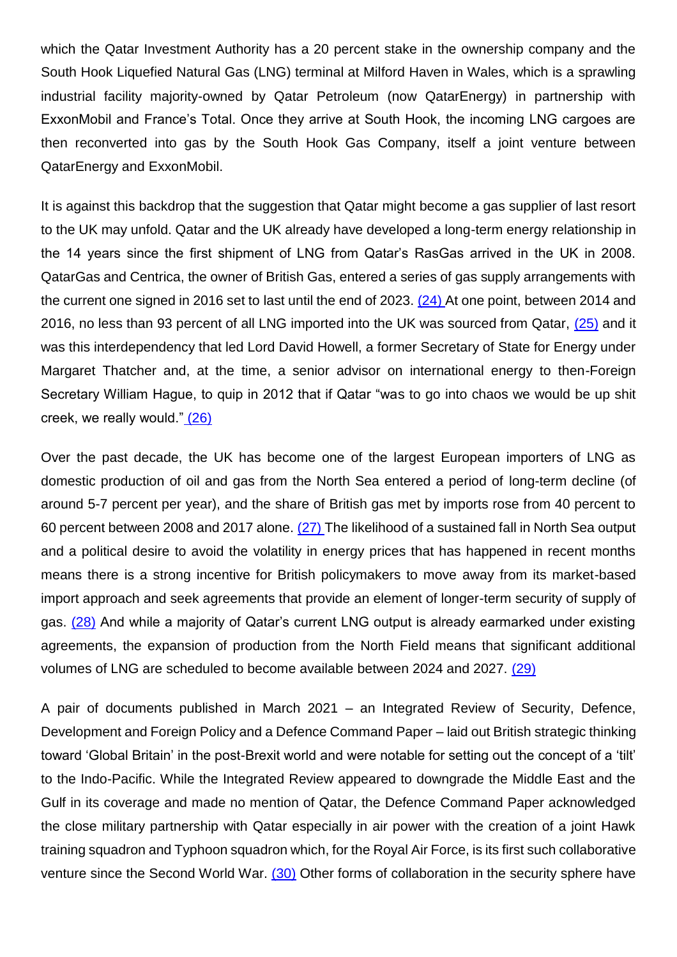which the Qatar Investment Authority has a 20 percent stake in the ownership company and the South Hook Liquefied Natural Gas (LNG) terminal at Milford Haven in Wales, which is a sprawling industrial facility majority-owned by Qatar Petroleum (now QatarEnergy) in partnership with ExxonMobil and France's Total. Once they arrive at South Hook, the incoming LNG cargoes are then reconverted into gas by the South Hook Gas Company, itself a joint venture between QatarEnergy and ExxonMobil.

It is against this backdrop that the suggestion that Qatar might become a gas supplier of last resort to the UK may unfold. Qatar and the UK already have developed a long-term energy relationship in the 14 years since the first shipment of LNG from Qatar's RasGas arrived in the UK in 2008. QatarGas and Centrica, the owner of British Gas, entered a series of gas supply arrangements with the current one signed in 2016 set to last until the end of 2023. (24) At one point, between 2014 and 2016, no less than 93 percent of all LNG imported into the UK was sourced from Qatar, (25) and it was this interdependency that led Lord David Howell, a former Secretary of State for Energy under Margaret Thatcher and, at the time, a senior advisor on international energy to then-Foreign Secretary William Hague, to quip in 2012 that if Qatar "was to go into chaos we would be up shit creek, we really would." (26)

Over the past decade, the UK has become one of the largest European importers of LNG as domestic production of oil and gas from the North Sea entered a period of long-term decline (of around 5-7 percent per year), and the share of British gas met by imports rose from 40 percent to 60 percent between 2008 and 2017 alone. (27) The likelihood of a sustained fall in North Sea output and a political desire to avoid the volatility in energy prices that has happened in recent months means there is a strong incentive for British policymakers to move away from its market-based import approach and seek agreements that provide an element of longer-term security of supply of gas. (28) And while a majority of Qatar's current LNG output is already earmarked under existing agreements, the expansion of production from the North Field means that significant additional volumes of LNG are scheduled to become available between 2024 and 2027. (29)

A pair of documents published in March 2021 – an Integrated Review of Security, Defence, Development and Foreign Policy and a Defence Command Paper – laid out British strategic thinking toward 'Global Britain' in the post-Brexit world and were notable for setting out the concept of a 'tilt' to the Indo-Pacific. While the Integrated Review appeared to downgrade the Middle East and the Gulf in its coverage and made no mention of Qatar, the Defence Command Paper acknowledged the close military partnership with Qatar especially in air power with the creation of a joint Hawk training squadron and Typhoon squadron which, for the Royal Air Force, is its first such collaborative venture since the Second World War.  $(30)$  Other forms of collaboration in the security sphere have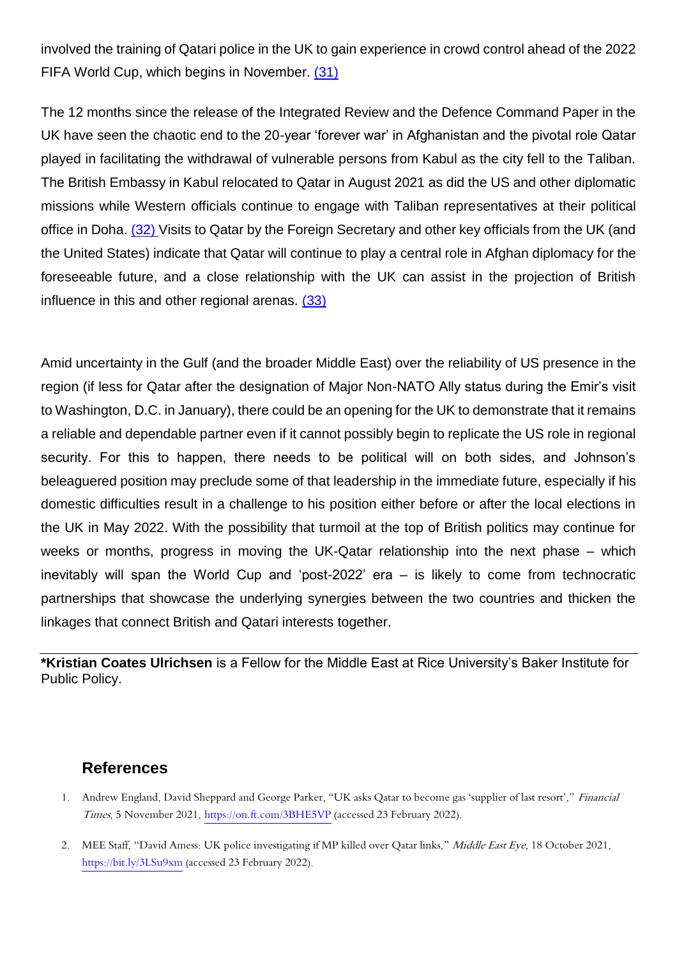involved the training of Qatari police in the UK to gain experience in crowd control ahead of the 2022 FIFA World Cup, which begins in November. (31)

The 12 months since the release of the Integrated Review and the Defence Command Paper in the UK have seen the chaotic end to the 20-year 'forever war' in Afghanistan and the pivotal role Qatar played in facilitating the withdrawal of vulnerable persons from Kabul as the city fell to the Taliban. The British Embassy in Kabul relocated to Qatar in August 2021 as did the US and other diplomatic missions while Western officials continue to engage with Taliban representatives at their political office in Doha. (32) Visits to Qatar by the Foreign Secretary and other key officials from the UK (and the United States) indicate that Qatar will continue to play a central role in Afghan diplomacy for the foreseeable future, and a close relationship with the UK can assist in the projection of British influence in this and other regional arenas. (33)

Amid uncertainty in the Gulf (and the broader Middle East) over the reliability of US presence in the region (if less for Qatar after the designation of Major Non-NATO Ally status during the Emir's visit to Washington, D.C. in January), there could be an opening for the UK to demonstrate that it remains a reliable and dependable partner even if it cannot possibly begin to replicate the US role in regional security. For this to happen, there needs to be political will on both sides, and Johnson's beleaguered position may preclude some of that leadership in the immediate future, especially if his domestic difficulties result in a challenge to his position either before or after the local elections in the UK in May 2022. With the possibility that turmoil at the top of British politics may continue for weeks or months, progress in moving the UK-Qatar relationship into the next phase – which inevitably will span the World Cup and 'post-2022' era – is likely to come from technocratic partnerships that showcase the underlying synergies between the two countries and thicken the linkages that connect British and Qatari interests together.

**\*Kristian Coates Ulrichsen** is a Fellow for the Middle East at Rice University's Baker Institute for Public Policy.

#### **References**

- 1. Andrew England, David Sheppard and George Parker, "UK asks Qatar to become gas 'supplier of last resort'," Financial Times, 5 November 2021[, https://on.ft.com/3BHE5VP](https://on.ft.com/3BHE5VP) (accessed 23 February 2022).
- 2. MEE Staff, "David Amess: UK police investigating if MP killed over Qatar links," Middle East Eye, 18 October 2021, <https://bit.ly/3LSu9xm> (accessed 23 February 2022).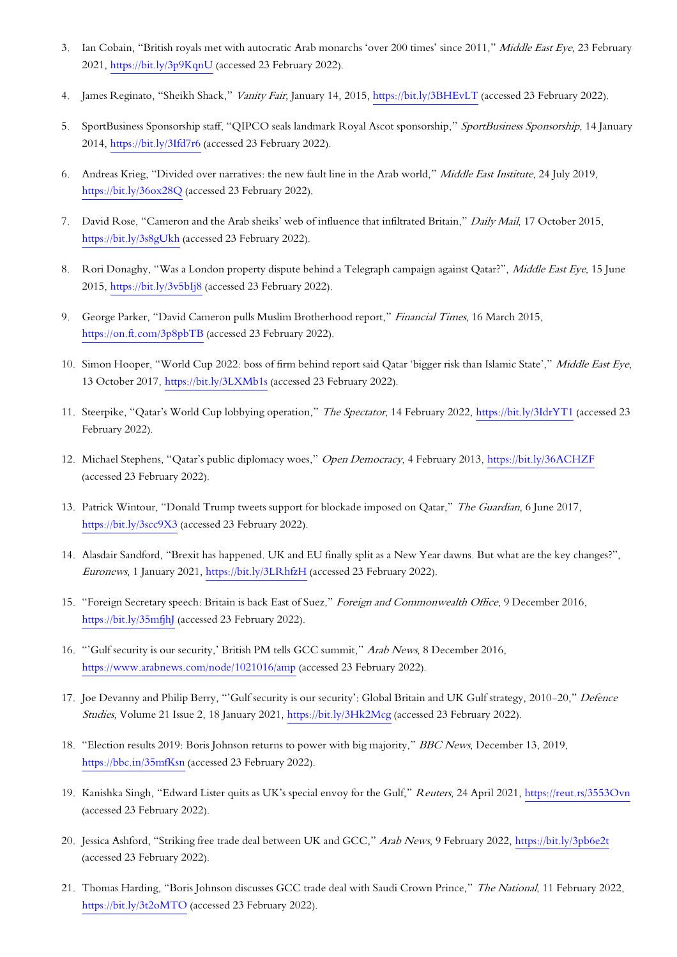- 3. Ian Cobain, "British royals met with autocratic Arab monarchs 'over 200 times' since 2011," Middle East Eye, 23 February 2021,<https://bit.ly/3p9KqnU> (accessed 23 February 2022).
- 4. James Reginato, "Sheikh Shack," Vanity Fair, January 14, 2015[, https://bit.ly/3BHEvLT](https://bit.ly/3BHEvLT) (accessed 23 February 2022).
- 5. SportBusiness Sponsorship staff, "QIPCO seals landmark Royal Ascot sponsorship," SportBusiness Sponsorship, 14 January 2014,<https://bit.ly/3Ifd7r6> (accessed 23 February 2022).
- 6. Andreas Krieg, "Divided over narratives: the new fault line in the Arab world," Middle East Institute, 24 July 2019, <https://bit.ly/36ox28Q> (accessed 23 February 2022).
- 7. David Rose, "Cameron and the Arab sheiks' web of influence that infiltrated Britain," Daily Mail, 17 October 2015, <https://bit.ly/3s8gUkh> (accessed 23 February 2022).
- 8. Rori Donaghy, "Was a London property dispute behind a Telegraph campaign against Qatar?", Middle East Eye, 15 June 2015,<https://bit.ly/3v5bIj8> (accessed 23 February 2022).
- 9. George Parker, "David Cameron pulls Muslim Brotherhood report," Financial Times, 16 March 2015, <https://on.ft.com/3p8pbTB> (accessed 23 February 2022).
- 10. Simon Hooper, "World Cup 2022: boss of firm behind report said Qatar 'bigger risk than Islamic State'," Middle East Eye, 13 October 2017,<https://bit.ly/3LXMb1s> (accessed 23 February 2022).
- 11. Steerpike, "Qatar's World Cup lobbying operation," The Spectator, 14 February 2022,<https://bit.ly/3IdrYT1> (accessed 23 February 2022).
- 12. Michael Stephens, "Qatar's public diplomacy woes," Open Democracy, 4 February 2013,<https://bit.ly/36ACHZF> (accessed 23 February 2022).
- 13. Patrick Wintour, "Donald Trump tweets support for blockade imposed on Qatar," The Guardian, 6 June 2017, <https://bit.ly/3scc9X3> (accessed 23 February 2022).
- 14. Alasdair Sandford, "Brexit has happened. UK and EU finally split as a New Year dawns. But what are the key changes?", Euronews, 1 January 2021,<https://bit.ly/3LRhfzH> (accessed 23 February 2022).
- 15. "Foreign Secretary speech: Britain is back East of Suez," Foreign and Commonwealth Office, 9 December 2016, <https://bit.ly/35mfjhJ> (accessed 23 February 2022).
- 16. "'Gulf security is our security,' British PM tells GCC summit," Arab News, 8 December 2016, <https://www.arabnews.com/node/1021016/amp> (accessed 23 February 2022).
- 17. Joe Devanny and Philip Berry, "'Gulf security is our security': Global Britain and UK Gulf strategy, 2010-20," Defence Studies, Volume 21 Issue 2, 18 January 2021,<https://bit.ly/3Hk2Mcg> (accessed 23 February 2022).
- 18. "Election results 2019: Boris Johnson returns to power with big majority," BBC News, December 13, 2019, <https://bbc.in/35mfKsn> (accessed 23 February 2022).
- 19. Kanishka Singh, "Edward Lister quits as UK's special envoy for the Gulf," Reuters, 24 April 2021,<https://reut.rs/3553Ovn> (accessed 23 February 2022).
- 20. Jessica Ashford, "Striking free trade deal between UK and GCC," Arab News, 9 February 2022[, https://bit.ly/3pb6e2t](https://bit.ly/3pb6e2t) (accessed 23 February 2022).
- 21. Thomas Harding, "Boris Johnson discusses GCC trade deal with Saudi Crown Prince," The National, 11 February 2022, <https://bit.ly/3t2oMTO> (accessed 23 February 2022).